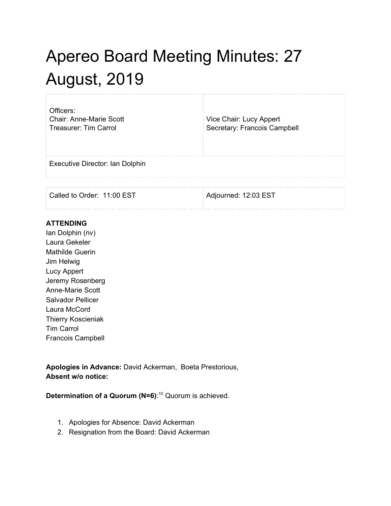## Apereo Board Meeting Minutes: 27 August, 2019

| Officers:<br><b>Chair: Anne-Marie Scott</b><br>Treasurer: Tim Carrol | Vice Chair: Lucy Appert<br>Secretary: Francois Campbell |
|----------------------------------------------------------------------|---------------------------------------------------------|
| Executive Director: Ian Dolphin                                      |                                                         |
|                                                                      |                                                         |

Called to Order: 11:00 EST Adjourned: 12:03 EST

## **ATTENDING**

Ian Dolphin (nv) Laura Gekeler Mathilde Guerin Jim Helwig Lucy Appert Jeremy Rosenberg Anne-Marie Scott Salvador Pellicer Laura McCord Thierry Koscieniak Tim Carrol Francois Campbell

**Apologies in Advance:** David Ackerman, Boeta Prestorious, **Absent w/o notice:**

**Determination of a Quorum (N=6)**: <sup>10</sup> Quorum is achieved.

- 1. Apologies for Absence: David Ackerman
- 2. Resignation from the Board: David Ackerman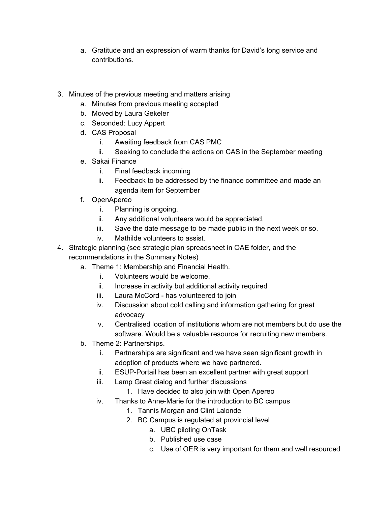- a. Gratitude and an expression of warm thanks for David's long service and contributions.
- 3. Minutes of the previous meeting and matters arising
	- a. Minutes from previous meeting accepted
	- b. Moved by Laura Gekeler
	- c. Seconded: Lucy Appert
	- d. CAS Proposal
		- i. Awaiting feedback from CAS PMC
		- ii. Seeking to conclude the actions on CAS in the September meeting
	- e. Sakai Finance
		- i. Final feedback incoming
		- ii. Feedback to be addressed by the finance committee and made an agenda item for September
	- f. OpenApereo
		- i. Planning is ongoing.
		- ii. Any additional volunteers would be appreciated.
		- iii. Save the date message to be made public in the next week or so.
		- iv. Mathilde volunteers to assist.
- 4. Strategic planning (see strategic plan spreadsheet in OAE folder, and the recommendations in the Summary Notes)
	- a. Theme 1: Membership and Financial Health.
		- i. Volunteers would be welcome.
		- ii. Increase in activity but additional activity required
		- iii. Laura McCord has volunteered to join
		- iv. Discussion about cold calling and information gathering for great advocacy
		- v. Centralised location of institutions whom are not members but do use the software. Would be a valuable resource for recruiting new members.
	- b. Theme 2: Partnerships.
		- i. Partnerships are significant and we have seen significant growth in adoption of products where we have partnered.
		- ii. ESUP-Portail has been an excellent partner with great support
		- iii. Lamp Great dialog and further discussions
			- 1. Have decided to also join with Open Apereo
		- iv. Thanks to Anne-Marie for the introduction to BC campus
			- 1. Tannis Morgan and Clint Lalonde
			- 2. BC Campus is regulated at provincial level
				- a. UBC piloting OnTask
				- b. Published use case
				- c. Use of OER is very important for them and well resourced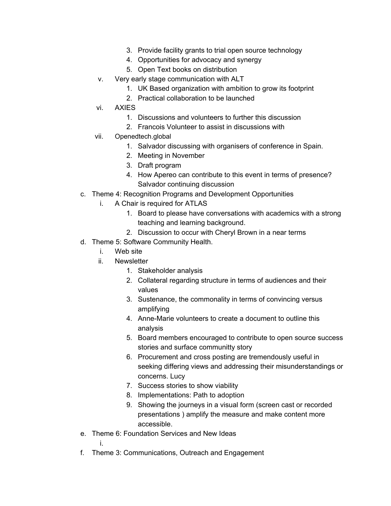- 3. Provide facility grants to trial open source technology
- 4. Opportunities for advocacy and synergy
- 5. Open Text books on distribution
- v. Very early stage communication with ALT
	- 1. UK Based organization with ambition to grow its footprint
	- 2. Practical collaboration to be launched
- vi. AXIES
	- 1. Discussions and volunteers to further this discussion
	- 2. Francois Volunteer to assist in discussions with
- vii. Openedtech.global
	- 1. Salvador discussing with organisers of conference in Spain.
	- 2. Meeting in November
	- 3. Draft program
	- 4. How Apereo can contribute to this event in terms of presence? Salvador continuing discussion
- c. Theme 4: Recognition Programs and Development Opportunities
	- i. A Chair is required for ATLAS
		- 1. Board to please have conversations with academics with a strong teaching and learning background.
		- 2. Discussion to occur with Cheryl Brown in a near terms
- d. Theme 5: Software Community Health.
	- i. Web site
	- ii. Newsletter
		- 1. Stakeholder analysis
		- 2. Collateral regarding structure in terms of audiences and their values
		- 3. Sustenance, the commonality in terms of convincing versus amplifying
		- 4. Anne-Marie volunteers to create a document to outline this analysis
		- 5. Board members encouraged to contribute to open source success stories and surface communitty story
		- 6. Procurement and cross posting are tremendously useful in seeking differing views and addressing their misunderstandings or concerns. Lucy
		- 7. Success stories to show viability
		- 8. Implementations: Path to adoption
		- 9. Showing the journeys in a visual form (screen cast or recorded presentations ) amplify the measure and make content more accessible.
- e. Theme 6: Foundation Services and New Ideas

i.

f. Theme 3: Communications, Outreach and Engagement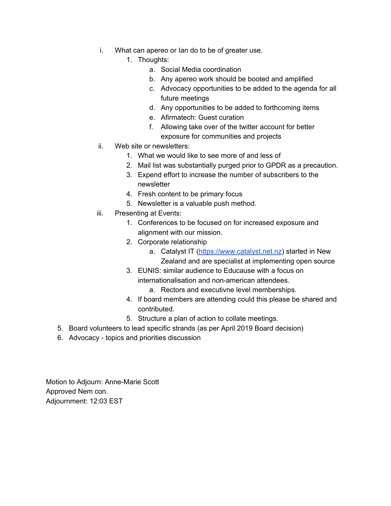- i. What can apereo or Ian do to be of greater use.
	- 1. Thoughts:
		- a. Social Media coordination
		- b. Any apereo work should be booted and amplified
		- c. Advocacy opportunities to be added to the agenda for all future meetings
		- d. Any opportunities to be added to forthcoming items
		- e. Afirmatech: Guest curation
		- f. Allowing take over of the twitter account for better exposure for communities and projects
- ii. Web site or newsletters:
	- 1. What we would like to see more of and less of
	- 2. Mail list was substantially purged prior to GPDR as a precaution.
	- 3. Expend effort to increase the number of subscribers to the newsletter
	- 4. Fresh content to be primary focus
	- 5. Newsletter is a valuable push method.
- iii. Presenting at Events:
	- 1. Conferences to be focused on for increased exposure and alignment with our mission.
	- 2. Corporate relationship
		- a. Catalyst IT [\(https://www.catalyst.net.nz](https://www.catalyst.net.nz/)) started in New Zealand and are specialist at implementing open source
	- 3. EUNIS: similar audience to Educause with a focus on internationalisation and non-american attendees.
		- a. Rectors and executivne level memberships.
	- 4. If board members are attending could this please be shared and contributed.
	- 5. Structure a plan of action to collate meetings.
- 5. Board volunteers to lead specific strands (as per April 2019 Board decision)
- 6. Advocacy topics and priorities discussion

Motion to Adjourn: Anne-Marie Scott Approved Nem con. Adjournment: 12:03 EST